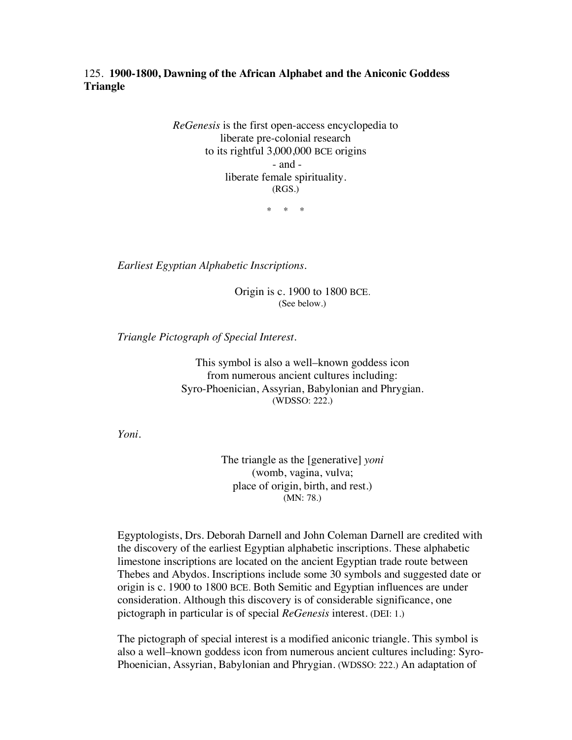125. **1900-1800, Dawning of the African Alphabet and the Aniconic Goddess Triangle**

> *ReGenesis* is the first open-access encyclopedia to liberate pre-colonial research to its rightful 3,000,000 BCE origins - and liberate female spirituality. (RGS.)

> > \* \* \*

*Earliest Egyptian Alphabetic Inscriptions*.

Origin is c. 1900 to 1800 BCE. (See below.)

*Triangle Pictograph of Special Interest.*

This symbol is also a well–known goddess icon from numerous ancient cultures including: Syro-Phoenician, Assyrian, Babylonian and Phrygian. (WDSSO: 222.)

*Yoni.*

The triangle as the [generative] *yoni* (womb, vagina, vulva; place of origin, birth, and rest.) (MN: 78.)

Egyptologists, Drs. Deborah Darnell and John Coleman Darnell are credited with the discovery of the earliest Egyptian alphabetic inscriptions. These alphabetic limestone inscriptions are located on the ancient Egyptian trade route between Thebes and Abydos. Inscriptions include some 30 symbols and suggested date or origin is c. 1900 to 1800 BCE. Both Semitic and Egyptian influences are under consideration. Although this discovery is of considerable significance, one pictograph in particular is of special *ReGenesis* interest. (DEI: 1.)

The pictograph of special interest is a modified aniconic triangle. This symbol is also a well–known goddess icon from numerous ancient cultures including: Syro-Phoenician, Assyrian, Babylonian and Phrygian. (WDSSO: 222.) An adaptation of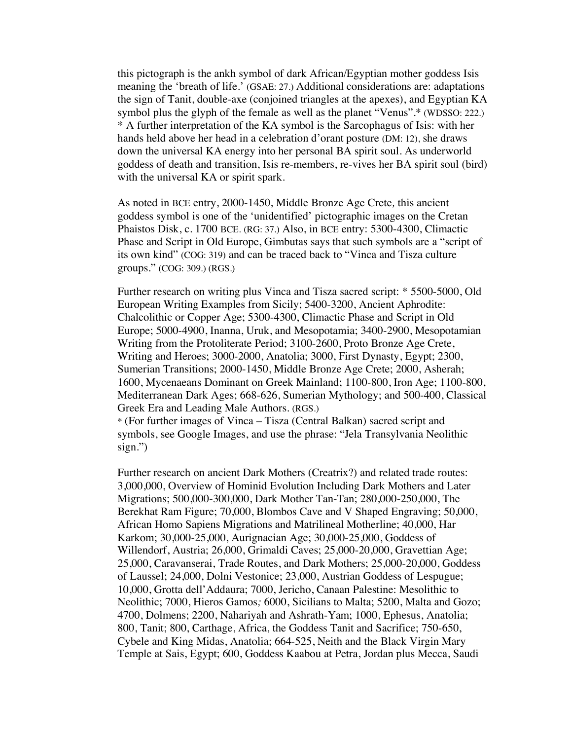this pictograph is the ankh symbol of dark African/Egyptian mother goddess Isis meaning the 'breath of life.' (GSAE: 27.) Additional considerations are: adaptations the sign of Tanit, double-axe (conjoined triangles at the apexes), and Egyptian KA symbol plus the glyph of the female as well as the planet "Venus".\* (WDSSO: 222.) \* A further interpretation of the KA symbol is the Sarcophagus of Isis: with her hands held above her head in a celebration d'orant posture (DM: 12), she draws down the universal KA energy into her personal BA spirit soul. As underworld goddess of death and transition, Isis re-members, re-vives her BA spirit soul (bird) with the universal KA or spirit spark.

As noted in BCE entry, 2000-1450, Middle Bronze Age Crete*,* this ancient goddess symbol is one of the 'unidentified' pictographic images on the Cretan Phaistos Disk, c. 1700 BCE. (RG: 37.) Also, in BCE entry: 5300-4300, Climactic Phase and Script in Old Europe, Gimbutas says that such symbols are a "script of its own kind" (COG: 319) and can be traced back to "Vinca and Tisza culture groups." (COG: 309.) (RGS.)

Further research on writing plus Vinca and Tisza sacred script: \* 5500-5000, Old European Writing Examples from Sicily; 5400-3200, Ancient Aphrodite: Chalcolithic or Copper Age; 5300-4300, Climactic Phase and Script in Old Europe; 5000-4900, Inanna, Uruk, and Mesopotamia; 3400-2900, Mesopotamian Writing from the Protoliterate Period; 3100-2600, Proto Bronze Age Crete, Writing and Heroes; 3000-2000, Anatolia; 3000, First Dynasty, Egypt; 2300, Sumerian Transitions; 2000-1450, Middle Bronze Age Crete; 2000, Asherah; 1600, Mycenaeans Dominant on Greek Mainland; 1100-800, Iron Age; 1100-800, Mediterranean Dark Ages; 668-626, Sumerian Mythology; and 500-400, Classical Greek Era and Leading Male Authors. (RGS.)

\* (For further images of Vinca – Tisza (Central Balkan) sacred script and symbols, see Google Images, and use the phrase: "Jela Transylvania Neolithic sign.")

Further research on ancient Dark Mothers (Creatrix?) and related trade routes: 3,000,000, Overview of Hominid Evolution Including Dark Mothers and Later Migrations; 500,000-300,000, Dark Mother Tan-Tan; 280,000-250,000, The Berekhat Ram Figure; 70,000, Blombos Cave and V Shaped Engraving; 50,000, African Homo Sapiens Migrations and Matrilineal Motherline; 40,000, Har Karkom; 30,000-25,000, Aurignacian Age; 30,000-25,000, Goddess of Willendorf, Austria; 26,000, Grimaldi Caves; 25,000-20,000, Gravettian Age; 25,000, Caravanserai, Trade Routes, and Dark Mothers; 25,000-20,000, Goddess of Laussel; 24,000, Dolni Vestonice; 23,000, Austrian Goddess of Lespugue; 10,000, Grotta dell'Addaura; 7000, Jericho, Canaan Palestine: Mesolithic to Neolithic; 7000, Hieros Gamos*;* 6000, Sicilians to Malta; 5200, Malta and Gozo; 4700, Dolmens; 2200, Nahariyah and Ashrath-Yam; 1000, Ephesus, Anatolia; 800, Tanit; 800, Carthage, Africa, the Goddess Tanit and Sacrifice; 750-650, Cybele and King Midas, Anatolia; 664-525, Neith and the Black Virgin Mary Temple at Sais, Egypt; 600, Goddess Kaabou at Petra, Jordan plus Mecca, Saudi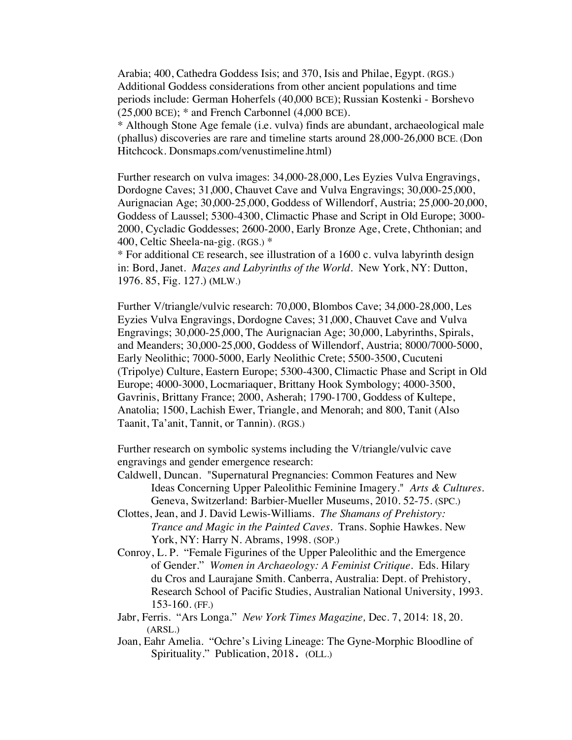Arabia; 400, Cathedra Goddess Isis; and 370, Isis and Philae, Egypt. (RGS.) Additional Goddess considerations from other ancient populations and time periods include: German Hoherfels (40,000 BCE); Russian Kostenki - Borshevo  $(25,000 \text{ BCE})$ ;  $*$  and French Carbonnel  $(4,000 \text{ BCE})$ .

\* Although Stone Age female (i.e. vulva) finds are abundant, archaeological male (phallus) discoveries are rare and timeline starts around 28,000-26,000 BCE. (Don Hitchcock. Donsmaps.com/venustimeline.html)

Further research on vulva images: 34,000-28,000, Les Eyzies Vulva Engravings, Dordogne Caves; 31,000, Chauvet Cave and Vulva Engravings; 30,000-25,000, Aurignacian Age; 30,000-25,000, Goddess of Willendorf, Austria; 25,000-20,000, Goddess of Laussel; 5300-4300, Climactic Phase and Script in Old Europe; 3000- 2000, Cycladic Goddesses; 2600-2000, Early Bronze Age, Crete, Chthonian; and 400, Celtic Sheela-na-gig. (RGS.) \*

\* For additional CE research, see illustration of a 1600 c. vulva labyrinth design in: Bord, Janet. *Mazes and Labyrinths of the World*. New York, NY: Dutton, 1976. 85, Fig. 127.) **(**MLW.)

Further V/triangle/vulvic research: 70,000, Blombos Cave; 34,000-28,000, Les Eyzies Vulva Engravings, Dordogne Caves; 31,000, Chauvet Cave and Vulva Engravings; 30,000-25,000, The Aurignacian Age; 30,000, Labyrinths, Spirals, and Meanders; 30,000-25,000, Goddess of Willendorf, Austria; 8000/7000-5000, Early Neolithic; 7000-5000, Early Neolithic Crete; 5500-3500, Cucuteni (Tripolye) Culture, Eastern Europe; 5300-4300, Climactic Phase and Script in Old Europe; 4000-3000, Locmariaquer, Brittany Hook Symbology; 4000-3500, Gavrinis, Brittany France; 2000, Asherah; 1790-1700, Goddess of Kultepe, Anatolia; 1500, Lachish Ewer, Triangle, and Menorah; and 800, Tanit (Also Taanit, Ta'anit, Tannit, or Tannin). (RGS.)

Further research on symbolic systems including the V/triangle/vulvic cave engravings and gender emergence research:

- Caldwell, Duncan. "Supernatural Pregnancies: Common Features and New Ideas Concerning Upper Paleolithic Feminine Imagery." *Arts & Cultures.*  Geneva, Switzerland: Barbier-Mueller Museums, 2010. 52-75. (SPC.)
- Clottes, Jean, and J. David Lewis-Williams. *The Shamans of Prehistory: Trance and Magic in the Painted Caves.* Trans. Sophie Hawkes. New York, NY: Harry N. Abrams, 1998. (SOP.)
- Conroy, L. P. "Female Figurines of the Upper Paleolithic and the Emergence of Gender." *Women in Archaeology: A Feminist Critique*. Eds. Hilary du Cros and Laurajane Smith. Canberra, Australia: Dept. of Prehistory, Research School of Pacific Studies, Australian National University, 1993. 153-160. (FF.)
- Jabr, Ferris. "Ars Longa." *New York Times Magazine,* Dec. 7, 2014: 18, 20. (ARSL.)
- Joan, Eahr Amelia. "Ochre's Living Lineage: The Gyne-Morphic Bloodline of Spirituality." Publication, 2018. (OLL.)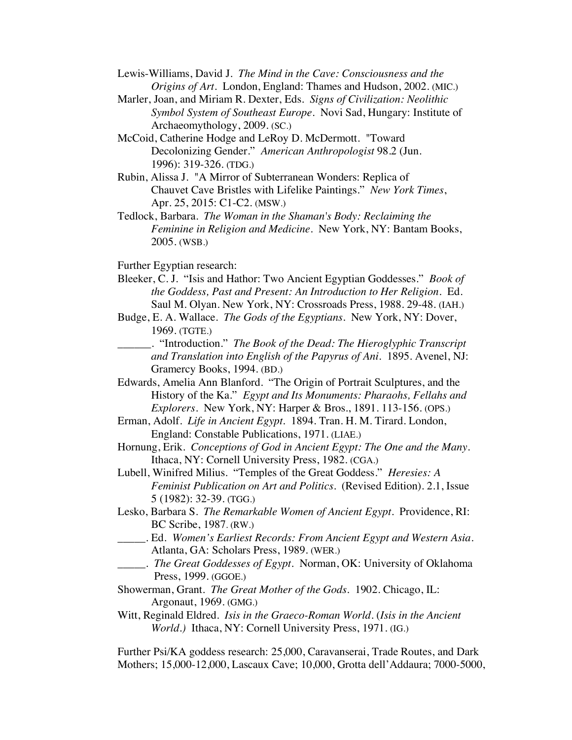- Lewis-Williams, David J. *The Mind in the Cave: Consciousness and the Origins of Art.* London, England: Thames and Hudson, 2002. (MIC.)
- Marler, Joan, and Miriam R. Dexter, Eds. *Signs of Civilization: Neolithic Symbol System of Southeast Europe*. Novi Sad, Hungary: Institute of Archaeomythology, 2009. (SC.)
- McCoid, Catherine Hodge and LeRoy D. McDermott. "Toward Decolonizing Gender." *American Anthropologist* 98.2 (Jun. 1996): 319-326. (TDG.)
- Rubin, Alissa J. "A Mirror of Subterranean Wonders: Replica of Chauvet Cave Bristles with Lifelike Paintings." *New York Times*, Apr. 25, 2015: C1-C2. (MSW.)
- Tedlock, Barbara. *The Woman in the Shaman's Body: Reclaiming the Feminine in Religion and Medicine*. New York, NY: Bantam Books, 2005. (WSB.)
- Further Egyptian research:
- Bleeker, C. J. "Isis and Hathor: Two Ancient Egyptian Goddesses." *Book of the Goddess, Past and Present: An Introduction to Her Religion.* Ed. Saul M. Olyan. New York, NY: Crossroads Press, 1988. 29-48. (IAH.)
- Budge, E. A. Wallace. *The Gods of the Egyptians.* New York, NY: Dover, 1969. (TGTE.)
- \_\_\_\_\_\_. "Introduction." *The Book of the Dead: The Hieroglyphic Transcript and Translation into English of the Papyrus of Ani*. 1895. Avenel, NJ: Gramercy Books, 1994. (BD.)
- Edwards, Amelia Ann Blanford. "The Origin of Portrait Sculptures, and the History of the Ka." *Egypt and Its Monuments: Pharaohs, Fellahs and Explorers*. New York, NY: Harper & Bros., 1891. 113-156. (OPS.)
- Erman, Adolf. *Life in Ancient Egypt.* 1894. Tran. H. M. Tirard. London, England: Constable Publications, 1971. (LIAE.)
- Hornung, Erik. *Conceptions of God in Ancient Egypt: The One and the Many*. Ithaca, NY: Cornell University Press, 1982. (CGA.)
- Lubell, Winifred Milius. "Temples of the Great Goddess." *Heresies: A Feminist Publication on Art and Politics.* (Revised Edition). 2.1, Issue 5 (1982): 32-39. (TGG.)
- Lesko, Barbara S. *The Remarkable Women of Ancient Egypt*. Providence, RI: BC Scribe, 1987. (RW.)
- \_\_\_\_\_. Ed. *Women's Earliest Records: From Ancient Egypt and Western Asia*. Atlanta, GA: Scholars Press, 1989. (WER.)
- \_\_\_\_\_. *The Great Goddesses of Egypt*. Norman, OK: University of Oklahoma Press, 1999. (GGOE.)
- Showerman, Grant. *The Great Mother of the Gods*. 1902. Chicago, IL: Argonaut, 1969. (GMG.)
- Witt, Reginald Eldred. *Isis in the Graeco-Roman World*. (*Isis in the Ancient World.)* Ithaca, NY: Cornell University Press, 1971. (IG.)

Further Psi/KA goddess research: 25,000, Caravanserai, Trade Routes, and Dark Mothers; 15,000-12,000, Lascaux Cave; 10,000, Grotta dell'Addaura; 7000-5000,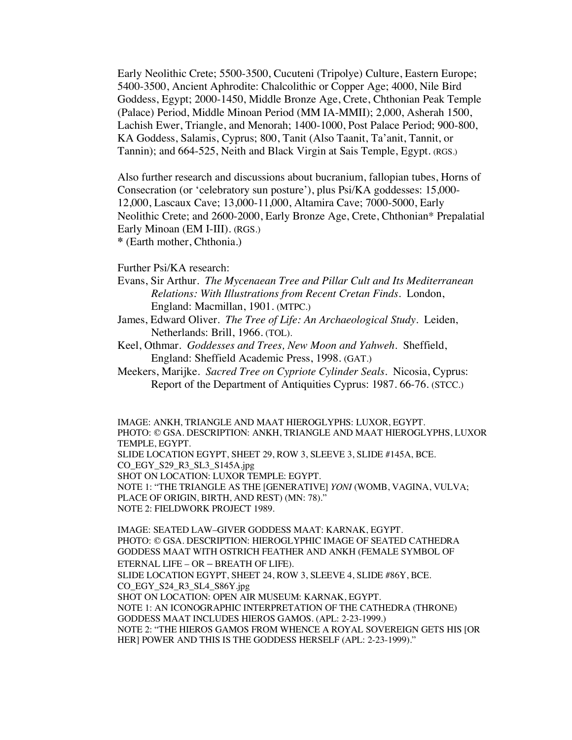Early Neolithic Crete; 5500-3500, Cucuteni (Tripolye) Culture, Eastern Europe; 5400-3500, Ancient Aphrodite: Chalcolithic or Copper Age; 4000, Nile Bird Goddess, Egypt; 2000-1450, Middle Bronze Age, Crete, Chthonian Peak Temple (Palace) Period, Middle Minoan Period (MM IA-MMII); 2,000, Asherah 1500, Lachish Ewer, Triangle, and Menorah; 1400-1000, Post Palace Period; 900-800, KA Goddess, Salamis, Cyprus; 800, Tanit (Also Taanit, Ta'anit, Tannit, or Tannin); and 664-525, Neith and Black Virgin at Sais Temple, Egypt. (RGS.)

Also further research and discussions about bucranium, fallopian tubes, Horns of Consecration (or 'celebratory sun posture'), plus Psi/KA goddesses: 15,000- 12,000, Lascaux Cave; 13,000-11,000, Altamira Cave; 7000-5000, Early Neolithic Crete; and 2600-2000, Early Bronze Age, Crete, Chthonian\* Prepalatial Early Minoan (EM I-III). (RGS.) **\*** (Earth mother, Chthonia.)

Further Psi/KA research:

- Evans, Sir Arthur. *The Mycenaean Tree and Pillar Cult and Its Mediterranean Relations: With Illustrations from Recent Cretan Finds*. London, England: Macmillan, 1901. (MTPC.)
- James, Edward Oliver. *The Tree of Life: An Archaeological Study*. Leiden, Netherlands: Brill, 1966. (TOL).
- Keel, Othmar. *Goddesses and Trees, New Moon and Yahweh*. Sheffield, England: Sheffield Academic Press, 1998. (GAT.)
- Meekers, Marijke.*Sacred Tree on Cypriote Cylinder Seals*. Nicosia, Cyprus: Report of the Department of Antiquities Cyprus: 1987. 66-76. (STCC.)

IMAGE: ANKH, TRIANGLE AND MAAT HIEROGLYPHS: LUXOR, EGYPT. PHOTO: © GSA. DESCRIPTION: ANKH, TRIANGLE AND MAAT HIEROGLYPHS, LUXOR TEMPLE, EGYPT. SLIDE LOCATION EGYPT, SHEET 29, ROW 3, SLEEVE 3, SLIDE #145A, BCE. CO\_EGY\_S29\_R3\_SL3\_S145A.jpg SHOT ON LOCATION: LUXOR TEMPLE: EGYPT. NOTE 1: "THE TRIANGLE AS THE [GENERATIVE] *YONI* (WOMB, VAGINA, VULVA; PLACE OF ORIGIN, BIRTH, AND REST) (MN: 78)." NOTE 2: FIELDWORK PROJECT 1989.

IMAGE: SEATED LAW–GIVER GODDESS MAAT: KARNAK, EGYPT. PHOTO: © GSA. DESCRIPTION: HIEROGLYPHIC IMAGE OF SEATED CATHEDRA GODDESS MAAT WITH OSTRICH FEATHER AND ANKH (FEMALE SYMBOL OF ETERNAL LIFE – OR – BREATH OF LIFE). SLIDE LOCATION EGYPT, SHEET 24, ROW 3, SLEEVE 4, SLIDE #86Y, BCE. CO\_EGY\_S24\_R3\_SL4\_S86Y.jpg SHOT ON LOCATION: OPEN AIR MUSEUM: KARNAK, EGYPT. NOTE 1: AN ICONOGRAPHIC INTERPRETATION OF THE CATHEDRA (THRONE) GODDESS MAAT INCLUDES HIEROS GAMOS. (APL: 2-23-1999.) NOTE 2: "THE HIEROS GAMOS FROM WHENCE A ROYAL SOVEREIGN GETS HIS [OR HER] POWER AND THIS IS THE GODDESS HERSELF (APL: 2-23-1999)."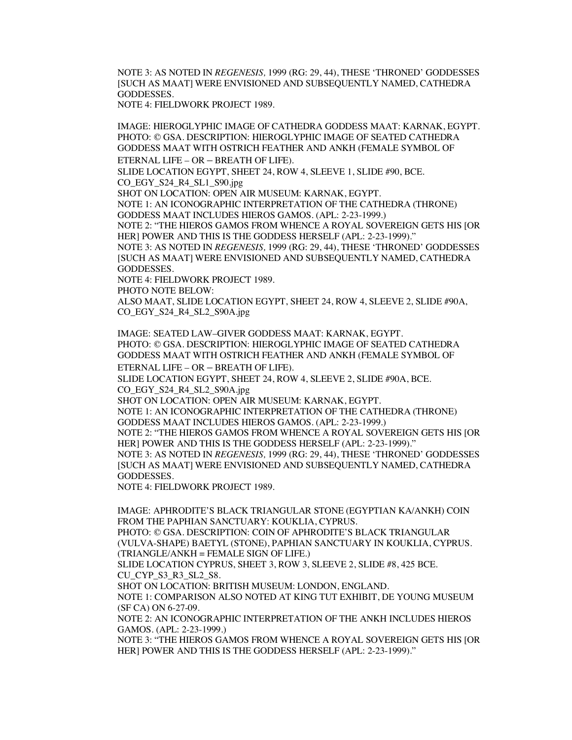NOTE 3: AS NOTED IN *REGENESIS,* 1999 (RG: 29, 44), THESE 'THRONED' GODDESSES [SUCH AS MAAT] WERE ENVISIONED AND SUBSEQUENTLY NAMED, CATHEDRA GODDESSES. NOTE 4: FIELDWORK PROJECT 1989.

IMAGE: HIEROGLYPHIC IMAGE OF CATHEDRA GODDESS MAAT: KARNAK, EGYPT. PHOTO: © GSA. DESCRIPTION: HIEROGLYPHIC IMAGE OF SEATED CATHEDRA GODDESS MAAT WITH OSTRICH FEATHER AND ANKH (FEMALE SYMBOL OF ETERNAL LIFE – OR – BREATH OF LIFE).

SLIDE LOCATION EGYPT, SHEET 24, ROW 4, SLEEVE 1, SLIDE #90, BCE. CO\_EGY\_S24\_R4\_SL1\_S90.jpg

SHOT ON LOCATION: OPEN AIR MUSEUM: KARNAK, EGYPT.

NOTE 1: AN ICONOGRAPHIC INTERPRETATION OF THE CATHEDRA (THRONE) GODDESS MAAT INCLUDES HIEROS GAMOS. (APL: 2-23-1999.)

NOTE 2: "THE HIEROS GAMOS FROM WHENCE A ROYAL SOVEREIGN GETS HIS [OR HER] POWER AND THIS IS THE GODDESS HERSELF (APL: 2-23-1999)."

NOTE 3: AS NOTED IN *REGENESIS,* 1999 (RG: 29, 44), THESE 'THRONED' GODDESSES [SUCH AS MAAT] WERE ENVISIONED AND SUBSEQUENTLY NAMED, CATHEDRA GODDESSES.

NOTE 4: FIELDWORK PROJECT 1989.

PHOTO NOTE BELOW:

ALSO MAAT, SLIDE LOCATION EGYPT, SHEET 24, ROW 4, SLEEVE 2, SLIDE #90A, CO\_EGY\_S24\_R4\_SL2\_S90A.jpg

IMAGE: SEATED LAW–GIVER GODDESS MAAT: KARNAK, EGYPT. PHOTO: © GSA. DESCRIPTION: HIEROGLYPHIC IMAGE OF SEATED CATHEDRA GODDESS MAAT WITH OSTRICH FEATHER AND ANKH (FEMALE SYMBOL OF ETERNAL LIFE – OR – BREATH OF LIFE).

SLIDE LOCATION EGYPT, SHEET 24, ROW 4, SLEEVE 2, SLIDE #90A, BCE. CO\_EGY\_S24\_R4\_SL2\_S90A.jpg

SHOT ON LOCATION: OPEN AIR MUSEUM: KARNAK, EGYPT.

NOTE 1: AN ICONOGRAPHIC INTERPRETATION OF THE CATHEDRA (THRONE) GODDESS MAAT INCLUDES HIEROS GAMOS. (APL: 2-23-1999.)

NOTE 2: "THE HIEROS GAMOS FROM WHENCE A ROYAL SOVEREIGN GETS HIS [OR HER] POWER AND THIS IS THE GODDESS HERSELF (APL: 2-23-1999)."

NOTE 3: AS NOTED IN *REGENESIS,* 1999 (RG: 29, 44), THESE 'THRONED' GODDESSES [SUCH AS MAAT] WERE ENVISIONED AND SUBSEQUENTLY NAMED, CATHEDRA GODDESSES.

NOTE 4: FIELDWORK PROJECT 1989.

IMAGE: APHRODITE'S BLACK TRIANGULAR STONE (EGYPTIAN KA/ANKH) COIN FROM THE PAPHIAN SANCTUARY: KOUKLIA, CYPRUS. PHOTO: © GSA. DESCRIPTION: COIN OF APHRODITE'S BLACK TRIANGULAR

(VULVA-SHAPE) BAETYL (STONE), PAPHIAN SANCTUARY IN KOUKLIA, CYPRUS. (TRIANGLE/ANKH = FEMALE SIGN OF LIFE.)

SLIDE LOCATION CYPRUS, SHEET 3, ROW 3, SLEEVE 2, SLIDE #8, 425 BCE. CU\_CYP\_S3\_R3\_SL2\_S8.

SHOT ON LOCATION: BRITISH MUSEUM: LONDON, ENGLAND.

NOTE 1: COMPARISON ALSO NOTED AT KING TUT EXHIBIT, DE YOUNG MUSEUM (SF CA) ON 6-27-09.

NOTE 2: AN ICONOGRAPHIC INTERPRETATION OF THE ANKH INCLUDES HIEROS GAMOS. (APL: 2-23-1999.)

NOTE 3: "THE HIEROS GAMOS FROM WHENCE A ROYAL SOVEREIGN GETS HIS [OR HER] POWER AND THIS IS THE GODDESS HERSELF (APL: 2-23-1999)."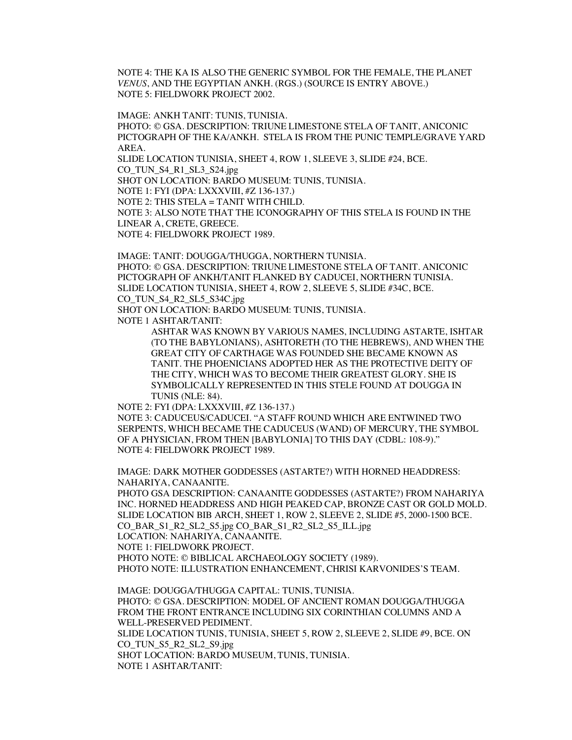NOTE 4: THE KA IS ALSO THE GENERIC SYMBOL FOR THE FEMALE, THE PLANET *VENUS*, AND THE EGYPTIAN ANKH. (RGS.) (SOURCE IS ENTRY ABOVE.) NOTE 5: FIELDWORK PROJECT 2002.

IMAGE: ANKH TANIT: TUNIS, TUNISIA. PHOTO: © GSA. DESCRIPTION: TRIUNE LIMESTONE STELA OF TANIT, ANICONIC PICTOGRAPH OF THE KA/ANKH. STELA IS FROM THE PUNIC TEMPLE/GRAVE YARD AREA. SLIDE LOCATION TUNISIA, SHEET 4, ROW 1, SLEEVE 3, SLIDE #24, BCE. CO\_TUN\_S4\_R1\_SL3\_S24.jpg SHOT ON LOCATION: BARDO MUSEUM: TUNIS, TUNISIA. NOTE 1: FYI (DPA: LXXXVIII, #Z 136-137.) NOTE 2: THIS STELA = TANIT WITH CHILD. NOTE 3: ALSO NOTE THAT THE ICONOGRAPHY OF THIS STELA IS FOUND IN THE LINEAR A, CRETE, GREECE. NOTE 4: FIELDWORK PROJECT 1989.

IMAGE: TANIT: DOUGGA/THUGGA, NORTHERN TUNISIA. PHOTO: © GSA. DESCRIPTION: TRIUNE LIMESTONE STELA OF TANIT. ANICONIC PICTOGRAPH OF ANKH/TANIT FLANKED BY CADUCEI, NORTHERN TUNISIA. SLIDE LOCATION TUNISIA, SHEET 4, ROW 2, SLEEVE 5, SLIDE #34C, BCE. CO\_TUN\_S4\_R2\_SL5\_S34C.jpg

SHOT ON LOCATION: BARDO MUSEUM: TUNIS, TUNISIA.

NOTE 1 ASHTAR/TANIT:

ASHTAR WAS KNOWN BY VARIOUS NAMES, INCLUDING ASTARTE, ISHTAR (TO THE BABYLONIANS), ASHTORETH (TO THE HEBREWS), AND WHEN THE GREAT CITY OF CARTHAGE WAS FOUNDED SHE BECAME KNOWN AS TANIT. THE PHOENICIANS ADOPTED HER AS THE PROTECTIVE DEITY OF THE CITY, WHICH WAS TO BECOME THEIR GREATEST GLORY. SHE IS SYMBOLICALLY REPRESENTED IN THIS STELE FOUND AT DOUGGA IN TUNIS (NLE: 84).

NOTE 2: FYI (DPA: LXXXVIII, #Z 136-137.)

NOTE 3: CADUCEUS/CADUCEI. "A STAFF ROUND WHICH ARE ENTWINED TWO SERPENTS, WHICH BECAME THE CADUCEUS (WAND) OF MERCURY, THE SYMBOL OF A PHYSICIAN, FROM THEN [BABYLONIA] TO THIS DAY (CDBL: 108-9)." NOTE 4: FIELDWORK PROJECT 1989.

IMAGE: DARK MOTHER GODDESSES (ASTARTE?) WITH HORNED HEADDRESS: NAHARIYA, CANAANITE.

PHOTO GSA DESCRIPTION: CANAANITE GODDESSES (ASTARTE?) FROM NAHARIYA INC. HORNED HEADDRESS AND HIGH PEAKED CAP, BRONZE CAST OR GOLD MOLD. SLIDE LOCATION BIB ARCH, SHEET 1, ROW 2, SLEEVE 2, SLIDE #5, 2000-1500 BCE. CO\_BAR\_S1\_R2\_SL2\_S5.jpg CO\_BAR\_S1\_R2\_SL2\_S5\_ILL.jpg LOCATION: NAHARIYA, CANAANITE. NOTE 1: FIELDWORK PROJECT. PHOTO NOTE: © BIBLICAL ARCHAEOLOGY SOCIETY (1989).

PHOTO NOTE: ILLUSTRATION ENHANCEMENT, CHRISI KARVONIDES'S TEAM.

IMAGE: DOUGGA/THUGGA CAPITAL: TUNIS, TUNISIA. PHOTO: © GSA. DESCRIPTION: MODEL OF ANCIENT ROMAN DOUGGA/THUGGA FROM THE FRONT ENTRANCE INCLUDING SIX CORINTHIAN COLUMNS AND A WELL-PRESERVED PEDIMENT. SLIDE LOCATION TUNIS, TUNISIA, SHEET 5, ROW 2, SLEEVE 2, SLIDE #9, BCE. ON CO\_TUN\_S5\_R2\_SL2\_S9.jpg SHOT LOCATION: BARDO MUSEUM, TUNIS, TUNISIA. NOTE 1 ASHTAR/TANIT: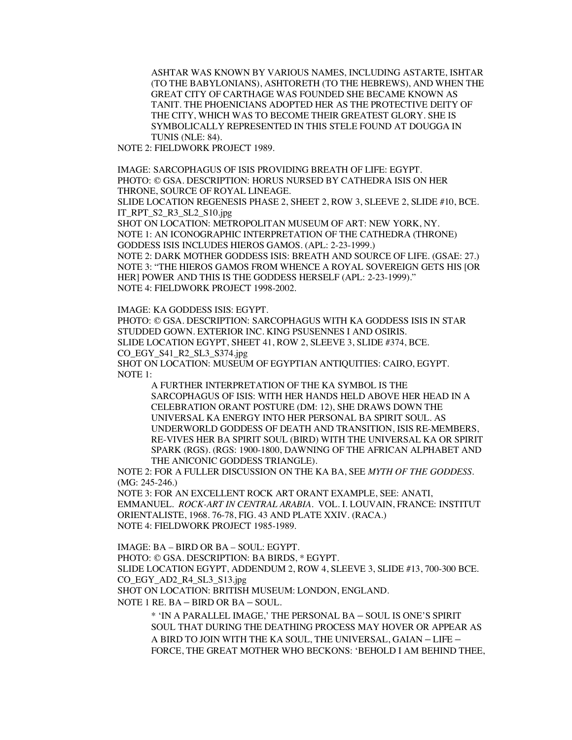ASHTAR WAS KNOWN BY VARIOUS NAMES, INCLUDING ASTARTE, ISHTAR (TO THE BABYLONIANS), ASHTORETH (TO THE HEBREWS), AND WHEN THE GREAT CITY OF CARTHAGE WAS FOUNDED SHE BECAME KNOWN AS TANIT. THE PHOENICIANS ADOPTED HER AS THE PROTECTIVE DEITY OF THE CITY, WHICH WAS TO BECOME THEIR GREATEST GLORY. SHE IS SYMBOLICALLY REPRESENTED IN THIS STELE FOUND AT DOUGGA IN TUNIS (NLE: 84).

NOTE 2: FIELDWORK PROJECT 1989.

IMAGE: SARCOPHAGUS OF ISIS PROVIDING BREATH OF LIFE: EGYPT. PHOTO: © GSA. DESCRIPTION: HORUS NURSED BY CATHEDRA ISIS ON HER THRONE, SOURCE OF ROYAL LINEAGE.

SLIDE LOCATION REGENESIS PHASE 2, SHEET 2, ROW 3, SLEEVE 2, SLIDE #10, BCE. IT\_RPT\_S2\_R3\_SL2\_S10.jpg

SHOT ON LOCATION: METROPOLITAN MUSEUM OF ART: NEW YORK, NY. NOTE 1: AN ICONOGRAPHIC INTERPRETATION OF THE CATHEDRA (THRONE) GODDESS ISIS INCLUDES HIEROS GAMOS. (APL: 2-23-1999.)

NOTE 2: DARK MOTHER GODDESS ISIS: BREATH AND SOURCE OF LIFE. (GSAE: 27.) NOTE 3: "THE HIEROS GAMOS FROM WHENCE A ROYAL SOVEREIGN GETS HIS [OR HER] POWER AND THIS IS THE GODDESS HERSELF (APL: 2-23-1999)." NOTE 4: FIELDWORK PROJECT 1998-2002.

IMAGE: KA GODDESS ISIS: EGYPT.

PHOTO: © GSA. DESCRIPTION: SARCOPHAGUS WITH KA GODDESS ISIS IN STAR STUDDED GOWN. EXTERIOR INC. KING PSUSENNES I AND OSIRIS. SLIDE LOCATION EGYPT, SHEET 41, ROW 2, SLEEVE 3, SLIDE #374, BCE. CO\_EGY\_S41\_R2\_SL3\_S374.jpg

SHOT ON LOCATION: MUSEUM OF EGYPTIAN ANTIQUITIES: CAIRO, EGYPT. NOTE 1:

A FURTHER INTERPRETATION OF THE KA SYMBOL IS THE SARCOPHAGUS OF ISIS: WITH HER HANDS HELD ABOVE HER HEAD IN A CELEBRATION ORANT POSTURE (DM: 12), SHE DRAWS DOWN THE UNIVERSAL KA ENERGY INTO HER PERSONAL BA SPIRIT SOUL. AS UNDERWORLD GODDESS OF DEATH AND TRANSITION, ISIS RE-MEMBERS, RE-VIVES HER BA SPIRIT SOUL (BIRD) WITH THE UNIVERSAL KA OR SPIRIT SPARK (RGS). (RGS: 1900-1800, DAWNING OF THE AFRICAN ALPHABET AND THE ANICONIC GODDESS TRIANGLE).

NOTE 2: FOR A FULLER DISCUSSION ON THE KA BA, SEE *MYTH OF THE GODDESS*. (MG: 245-246.)

NOTE 3: FOR AN EXCELLENT ROCK ART ORANT EXAMPLE, SEE: ANATI, EMMANUEL. *ROCK-ART IN CENTRAL ARABIA*. VOL. I. LOUVAIN, FRANCE: INSTITUT ORIENTALISTE, 1968. 76-78, FIG. 43 AND PLATE XXIV. (RACA.) NOTE 4: FIELDWORK PROJECT 1985-1989.

IMAGE: BA – BIRD OR BA – SOUL: EGYPT. PHOTO: © GSA. DESCRIPTION: BA BIRDS, \* EGYPT. SLIDE LOCATION EGYPT, ADDENDUM 2, ROW 4, SLEEVE 3, SLIDE #13, 700-300 BCE. CO\_EGY\_AD2\_R4\_SL3\_S13.jpg SHOT ON LOCATION: BRITISH MUSEUM: LONDON, ENGLAND. NOTE 1 RE. BA – BIRD OR BA – SOUL.

\* 'IN A PARALLEL IMAGE,' THE PERSONAL BA – SOUL IS ONE'S SPIRIT SOUL THAT DURING THE DEATHING PROCESS MAY HOVER OR APPEAR AS A BIRD TO JOIN WITH THE KA SOUL, THE UNIVERSAL, GAIAN – LIFE – FORCE, THE GREAT MOTHER WHO BECKONS: 'BEHOLD I AM BEHIND THEE,